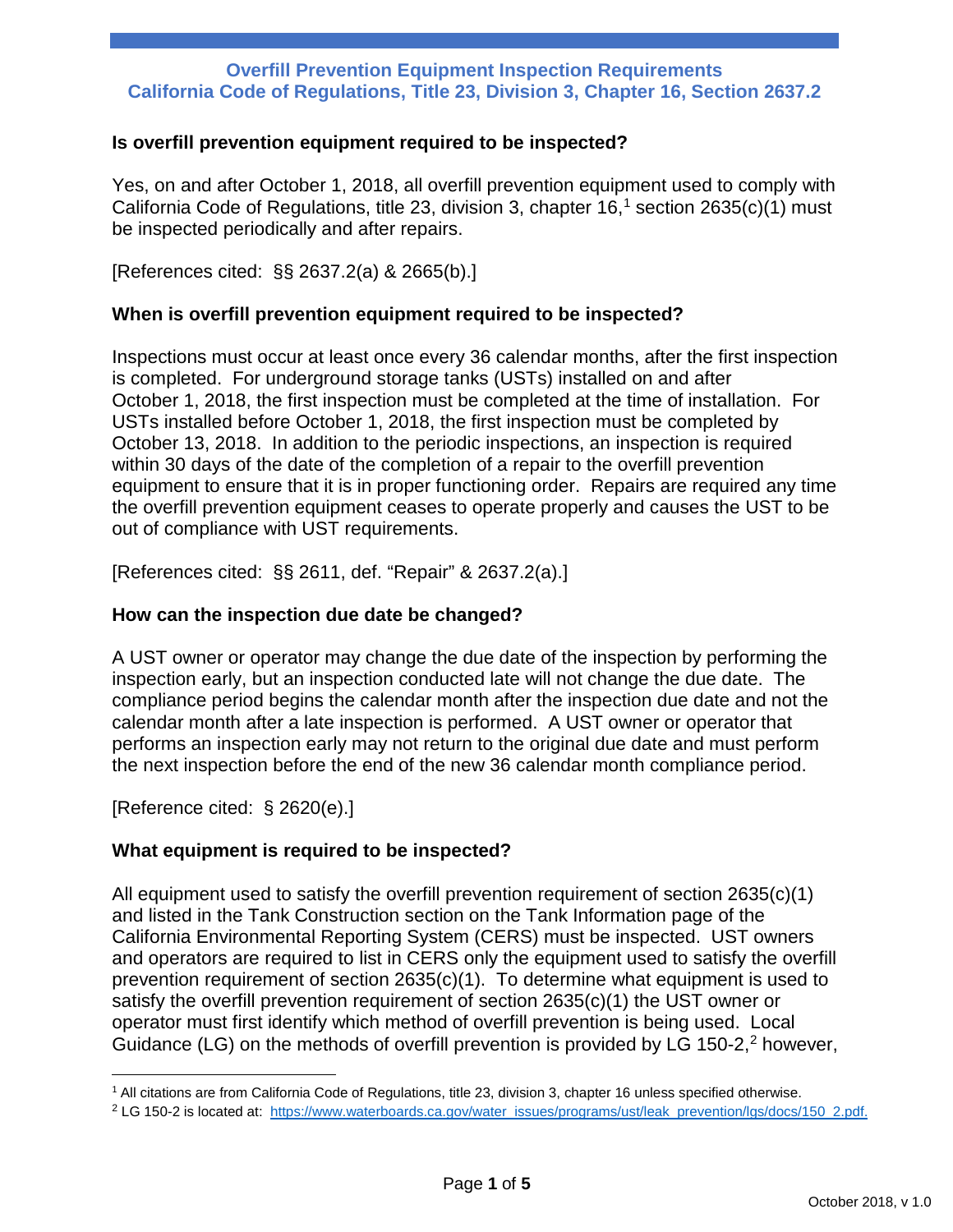#### **Is overfill prevention equipment required to be inspected?**

Yes, on and after October 1, 2018, all overfill prevention equipment used to comply with California Code of Regulations, title 23, division 3, chapter 16, [1](#page-0-0) section 2635(c)(1) must be inspected periodically and after repairs.

[References cited: §§ 2637.2(a) & 2665(b).]

#### **When is overfill prevention equipment required to be inspected?**

Inspections must occur at least once every 36 calendar months, after the first inspection is completed. For underground storage tanks (USTs) installed on and after October 1, 2018, the first inspection must be completed at the time of installation. For USTs installed before October 1, 2018, the first inspection must be completed by October 13, 2018. In addition to the periodic inspections, an inspection is required within 30 days of the date of the completion of a repair to the overfill prevention equipment to ensure that it is in proper functioning order. Repairs are required any time the overfill prevention equipment ceases to operate properly and causes the UST to be out of compliance with UST requirements.

[References cited: §§ 2611, def. "Repair" & 2637.2(a).]

### **How can the inspection due date be changed?**

A UST owner or operator may change the due date of the inspection by performing the inspection early, but an inspection conducted late will not change the due date. The compliance period begins the calendar month after the inspection due date and not the calendar month after a late inspection is performed. A UST owner or operator that performs an inspection early may not return to the original due date and must perform the next inspection before the end of the new 36 calendar month compliance period.

[Reference cited: § 2620(e).]

 $\overline{\phantom{a}}$ 

# **What equipment is required to be inspected?**

All equipment used to satisfy the overfill prevention requirement of section 2635(c)(1) and listed in the Tank Construction section on the Tank Information page of the California Environmental Reporting System (CERS) must be inspected. UST owners and operators are required to list in CERS only the equipment used to satisfy the overfill prevention requirement of section 2635(c)(1). To determine what equipment is used to satisfy the overfill prevention requirement of section 2635(c)(1) the UST owner or operator must first identify which method of overfill prevention is being used. Local Guidance (LG) on the methods of overfill prevention is provided by LG 150-[2](#page-0-1), $2$  however,

<span id="page-0-0"></span> $1$  All citations are from California Code of Regulations, title 23, division 3, chapter 16 unless specified otherwise.

<span id="page-0-1"></span><sup>&</sup>lt;sup>2</sup> LG 150-2 is located at: [https://www.waterboards.ca.gov/water\\_issues/programs/ust/leak\\_prevention/lgs/docs/150\\_2.pdf.](https://www.waterboards.ca.gov/water_issues/programs/ust/leak_prevention/lgs/docs/150_2.pdf)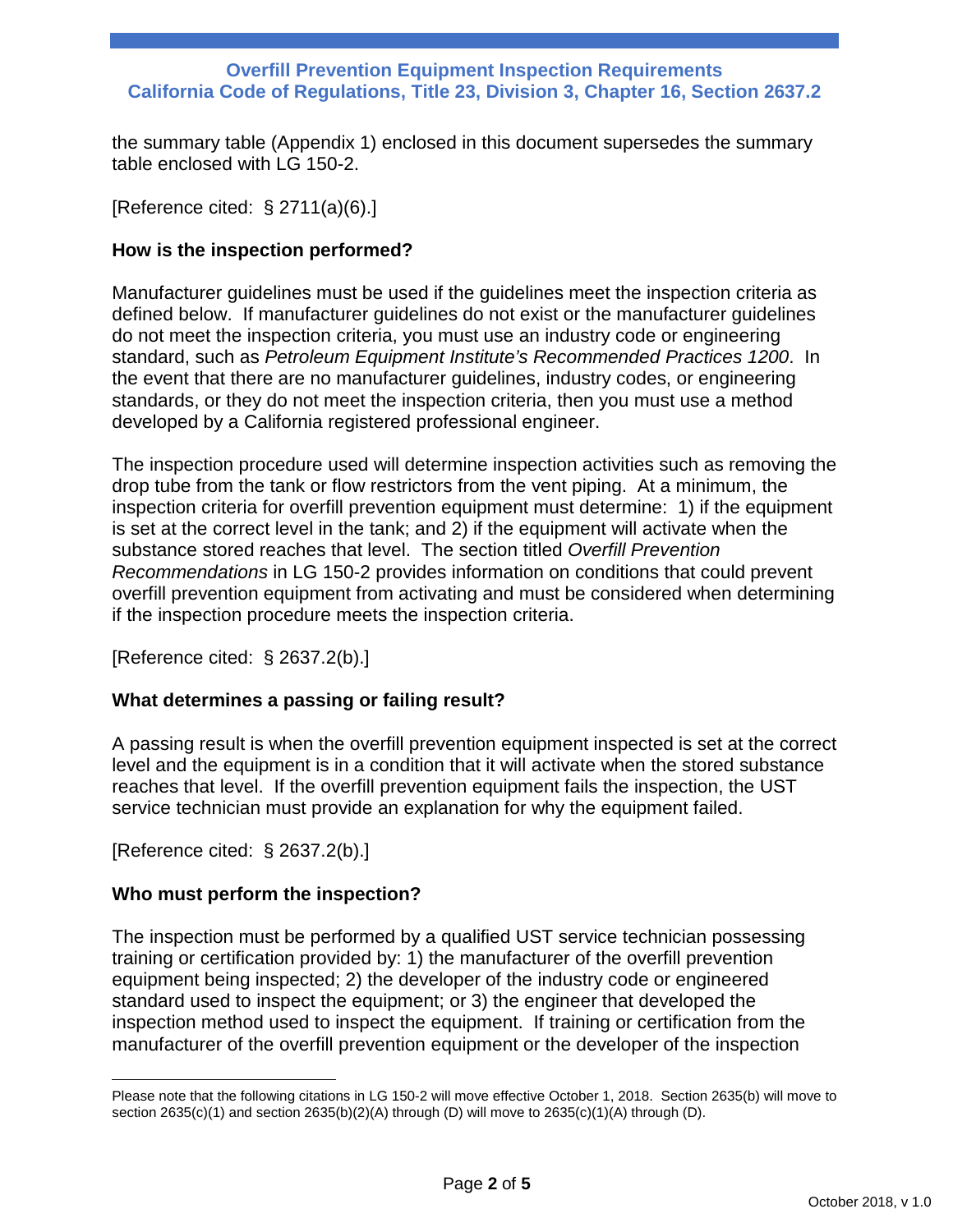the summary table (Appendix 1) enclosed in this document supersedes the summary table enclosed with LG 150-2.

[Reference cited: § 2711(a)(6).]

### **How is the inspection performed?**

Manufacturer guidelines must be used if the guidelines meet the inspection criteria as defined below. If manufacturer guidelines do not exist or the manufacturer guidelines do not meet the inspection criteria, you must use an industry code or engineering standard, such as *Petroleum Equipment Institute's Recommended Practices 1200*. In the event that there are no manufacturer guidelines, industry codes, or engineering standards, or they do not meet the inspection criteria, then you must use a method developed by a California registered professional engineer.

The inspection procedure used will determine inspection activities such as removing the drop tube from the tank or flow restrictors from the vent piping. At a minimum, the inspection criteria for overfill prevention equipment must determine: 1) if the equipment is set at the correct level in the tank; and 2) if the equipment will activate when the substance stored reaches that level. The section titled *Overfill Prevention Recommendations* in LG 150-2 provides information on conditions that could prevent overfill prevention equipment from activating and must be considered when determining if the inspection procedure meets the inspection criteria.

[Reference cited: § 2637.2(b).]

# **What determines a passing or failing result?**

A passing result is when the overfill prevention equipment inspected is set at the correct level and the equipment is in a condition that it will activate when the stored substance reaches that level. If the overfill prevention equipment fails the inspection, the UST service technician must provide an explanation for why the equipment failed.

[Reference cited: § 2637.2(b).]

 $\overline{a}$ 

# **Who must perform the inspection?**

The inspection must be performed by a qualified UST service technician possessing training or certification provided by: 1) the manufacturer of the overfill prevention equipment being inspected; 2) the developer of the industry code or engineered standard used to inspect the equipment; or 3) the engineer that developed the inspection method used to inspect the equipment. If training or certification from the manufacturer of the overfill prevention equipment or the developer of the inspection

Please note that the following citations in LG 150-2 will move effective October 1, 2018. Section 2635(b) will move to section  $2635(c)(1)$  and section  $2635(b)(2)(A)$  through (D) will move to  $2635(c)(1)(A)$  through (D).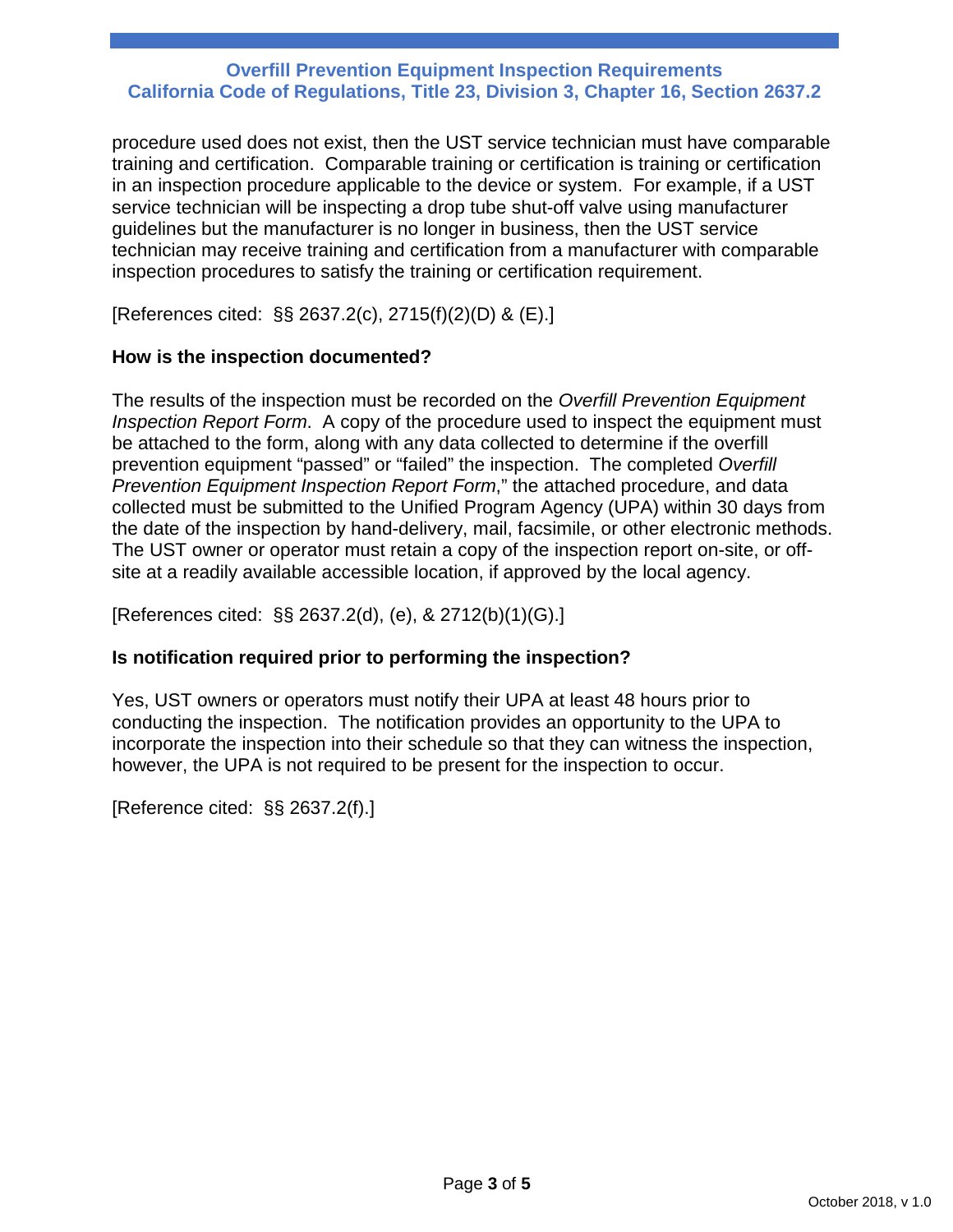procedure used does not exist, then the UST service technician must have comparable training and certification. Comparable training or certification is training or certification in an inspection procedure applicable to the device or system. For example, if a UST service technician will be inspecting a drop tube shut-off valve using manufacturer guidelines but the manufacturer is no longer in business, then the UST service technician may receive training and certification from a manufacturer with comparable inspection procedures to satisfy the training or certification requirement.

[References cited: §§ 2637.2(c), 2715(f)(2)(D) & (E).]

# **How is the inspection documented?**

The results of the inspection must be recorded on the *Overfill Prevention Equipment Inspection Report Form*. A copy of the procedure used to inspect the equipment must be attached to the form, along with any data collected to determine if the overfill prevention equipment "passed" or "failed" the inspection. The completed *Overfill Prevention Equipment Inspection Report Form*," the attached procedure, and data collected must be submitted to the Unified Program Agency (UPA) within 30 days from the date of the inspection by hand-delivery, mail, facsimile, or other electronic methods. The UST owner or operator must retain a copy of the inspection report on-site, or offsite at a readily available accessible location, if approved by the local agency.

[References cited: §§ 2637.2(d), (e), & 2712(b)(1)(G).]

# **Is notification required prior to performing the inspection?**

Yes, UST owners or operators must notify their UPA at least 48 hours prior to conducting the inspection. The notification provides an opportunity to the UPA to incorporate the inspection into their schedule so that they can witness the inspection, however, the UPA is not required to be present for the inspection to occur.

[Reference cited: §§ 2637.2(f).]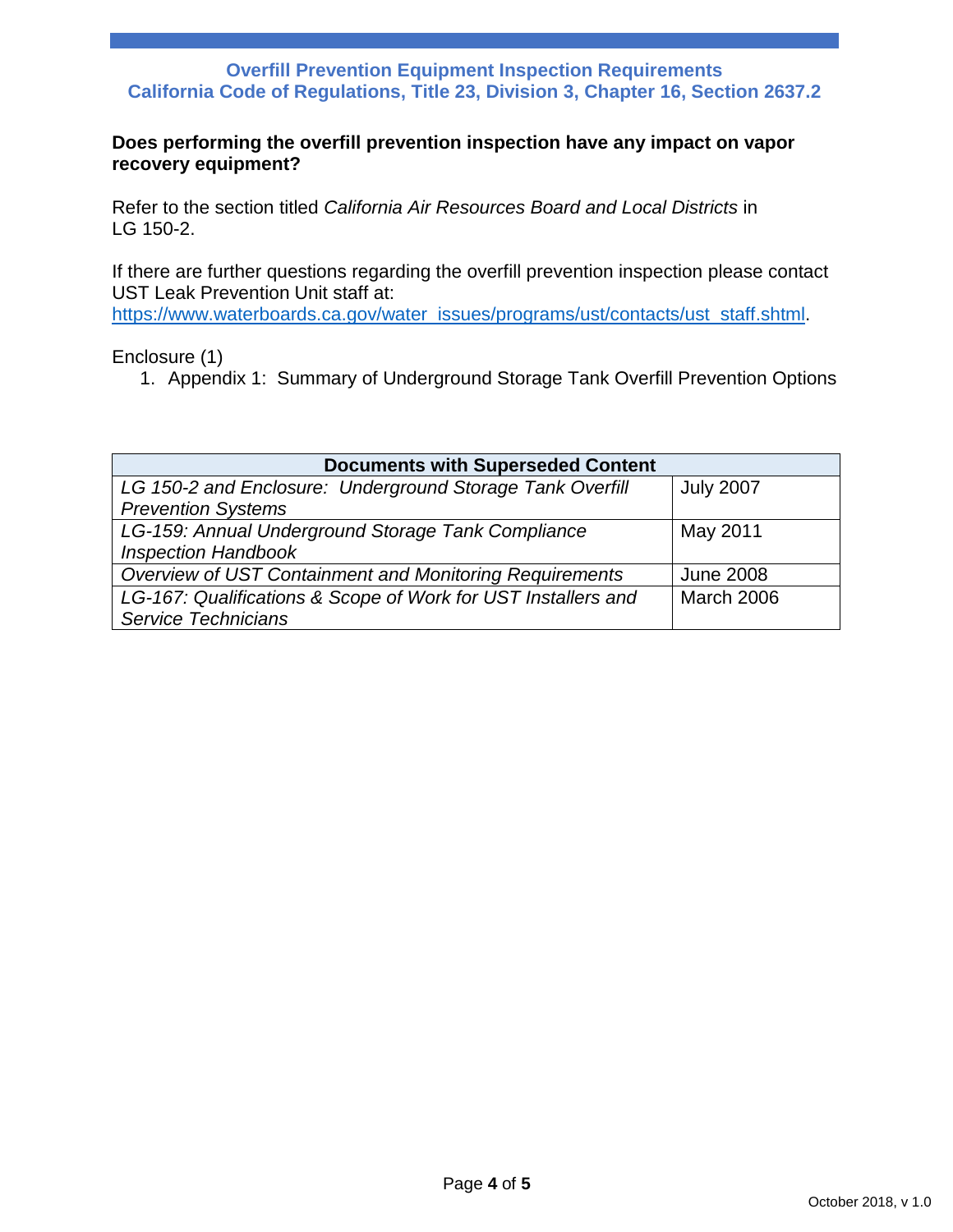#### **Does performing the overfill prevention inspection have any impact on vapor recovery equipment?**

Refer to the section titled *California Air Resources Board and Local Districts* in LG 150-2.

If there are further questions regarding the overfill prevention inspection please contact UST Leak Prevention Unit staff at:

[https://www.waterboards.ca.gov/water\\_issues/programs/ust/contacts/ust\\_staff.shtml.](https://www.waterboards.ca.gov/water_issues/programs/ust/contacts/ust_staff.shtml)

Enclosure (1)

1. Appendix 1: Summary of Underground Storage Tank Overfill Prevention Options

| <b>Documents with Superseded Content</b>                      |                  |  |  |  |  |  |
|---------------------------------------------------------------|------------------|--|--|--|--|--|
| LG 150-2 and Enclosure: Underground Storage Tank Overfill     | <b>July 2007</b> |  |  |  |  |  |
| <b>Prevention Systems</b>                                     |                  |  |  |  |  |  |
| LG-159: Annual Underground Storage Tank Compliance            | May 2011         |  |  |  |  |  |
| <b>Inspection Handbook</b>                                    |                  |  |  |  |  |  |
| Overview of UST Containment and Monitoring Requirements       | <b>June 2008</b> |  |  |  |  |  |
| LG-167: Qualifications & Scope of Work for UST Installers and | March 2006       |  |  |  |  |  |
| <b>Service Technicians</b>                                    |                  |  |  |  |  |  |